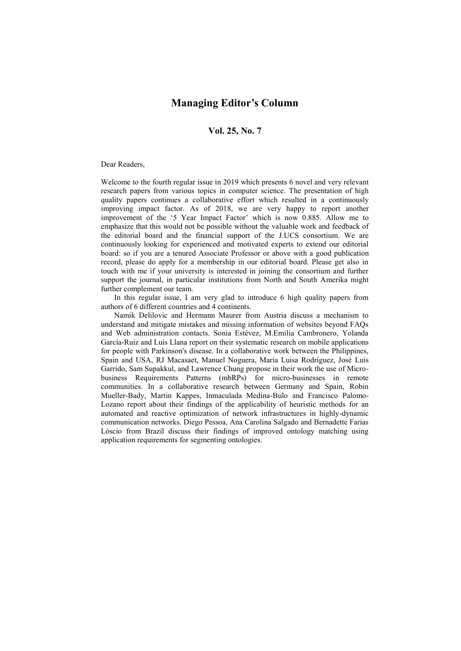## **Managing Editor's Column**

## **Vol. 25, No. 7**

## Dear Readers,

Welcome to the fourth regular issue in 2019 which presents 6 novel and very relevant research papers from various topics in computer science. The presentation of high quality papers continues a collaborative effort which resulted in a continuously improving impact factor. As of 2018, we are very happy to report another improvement of the '5 Year Impact Factor' which is now 0.885. Allow me to emphasize that this would not be possible without the valuable work and feedback of the editorial board and the financial support of the J.UCS consortium. We are continuously looking for experienced and motivated experts to extend our editorial board: so if you are a tenured Associate Professor or above with a good publication record, please do apply for a membership in our editorial board. Please get also in touch with me if your university is interested in joining the consortium and further support the journal, in particular institutions from North and South Amerika might further complement our team.

In this regular issue, I am very glad to introduce 6 high quality papers from authors of 6 different countries and 4 continents.

Namik Delilovic and Hermann Maurer from Austria discuss a mechanism to understand and mitigate mistakes and missing information of websites beyond FAQs and Web administration contacts. Sonia Estévez, M.Emilia Cambronero, Yolanda García-Ruiz and Luis Llana report on their systematic research on mobile applications for people with Parkinson's disease. In a collaborative work between the Philippines, Spain and USA, RJ Macasaet, Manuel Noguera, María Luisa Rodríguez, José Luis Garrido, Sam Supakkul, and Lawrence Chung propose in their work the use of Microbusiness Requirements Patterns (mbRPs) for micro-businesses in remote communities. In a collaborative research between Germany and Spain, Robin Mueller-Bady, Martin Kappes, Inmaculada Medina-Bulo and Francisco Palomo-Lozano report about their findings of the applicability of heuristic methods for an automated and reactive optimization of network infrastructures in highly-dynamic communication networks. Diego Pessoa, Ana Carolina Salgado and Bernadette Farias Lóscio from Brazil discuss their findings of improved ontology matching using application requirements for segmenting ontologies.